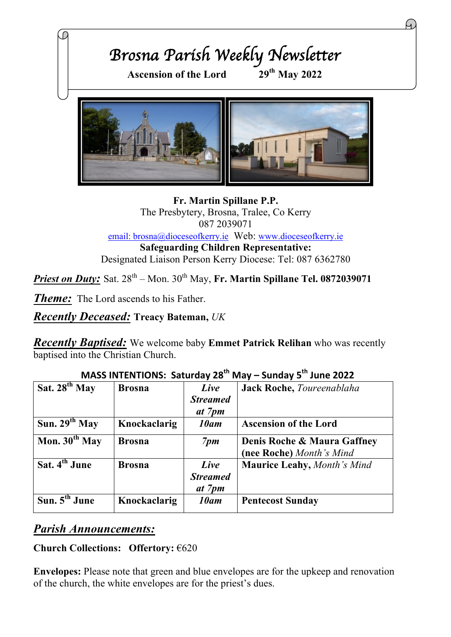

**Fr. Martin Spillane P.P.** The Presbytery, Brosna, Tralee, Co Kerry 087 2039071 email: brosna@dioceseofkerry.ie Web: www.dioceseofkerry.ie **Safeguarding Children Representative:** Designated Liaison Person Kerry Diocese: Tel: 087 6362780

*Priest on Duty:* Sat.  $28^{th}$  – Mon.  $30^{th}$  May, Fr. Martin Spillane Tel. 0872039071

*Theme:* The Lord ascends to his Father.

*Recently Deceased:* **Treacy Bateman,** *UK*

*Recently Baptised:* We welcome baby **Emmet Patrick Relihan** who was recently baptised into the Christian Church.

| Sat. $28th$ May           | <b>Brosna</b> | Live<br><b>Streamed</b><br>at 7pm | Jack Roche, Toureenablaha                               |
|---------------------------|---------------|-----------------------------------|---------------------------------------------------------|
| Sun. $29^{th}$ May        | Knockaclarig  | 10am                              | <b>Ascension of the Lord</b>                            |
| Mon. $30th$ May           | <b>Brosna</b> | 7 <sub>pm</sub>                   | Denis Roche & Maura Gaffney<br>(nee Roche) Month's Mind |
| Sat. 4 <sup>th</sup> June | <b>Brosna</b> | Live<br><b>Streamed</b><br>at 7pm | <b>Maurice Leahy, Month's Mind</b>                      |
| Sun. $5th$ June           | Knockaclarig  | 10am                              | <b>Pentecost Sunday</b>                                 |

## **MASS INTENTIONS: Saturday 28th May – Sunday 5th June 2022**

### *Parish Announcements:*

#### **Church Collections: Offertory:** €620

**Envelopes:** Please note that green and blue envelopes are for the upkeep and renovation of the church, the white envelopes are for the priest's dues.